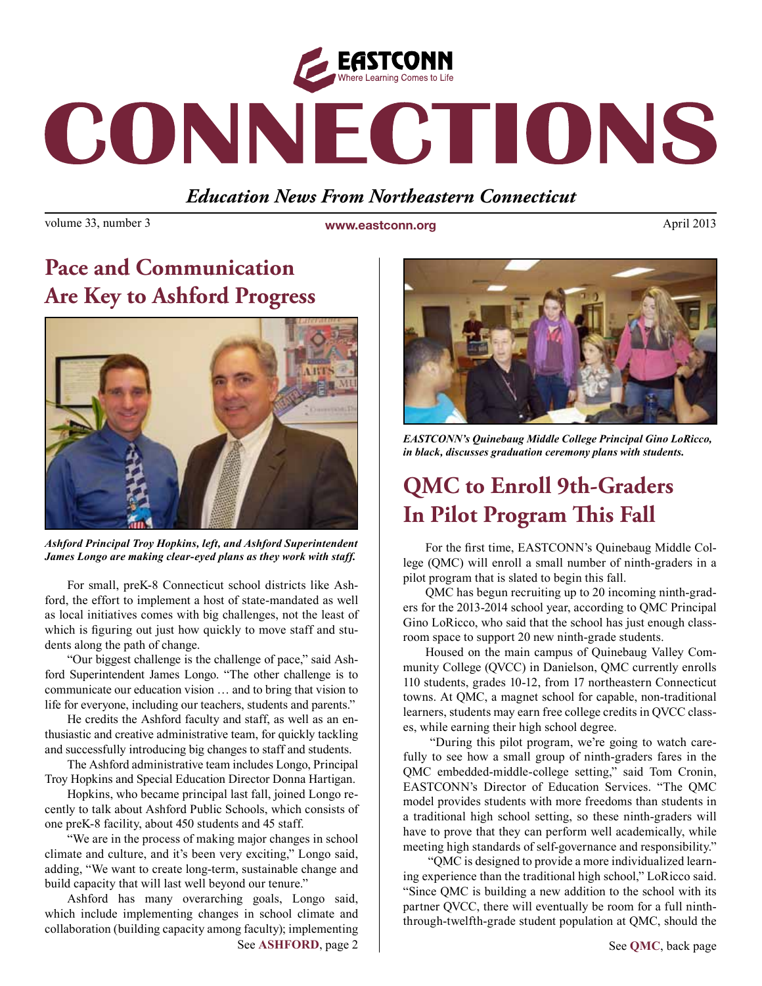

# CONNECTIONS

## *Education News From Northeastern Connecticut*

volume 33, number 3 **www.eastconn.org** April 2013

# **Pace and Communication Are Key to Ashford Progress**



*Ashford Principal Troy Hopkins, left, and Ashford Superintendent James Longo are making clear-eyed plans as they work with staff.* 

For small, preK-8 Connecticut school districts like Ashford, the effort to implement a host of state-mandated as well as local initiatives comes with big challenges, not the least of which is figuring out just how quickly to move staff and students along the path of change.

"Our biggest challenge is the challenge of pace," said Ashford Superintendent James Longo. "The other challenge is to communicate our education vision … and to bring that vision to life for everyone, including our teachers, students and parents."

He credits the Ashford faculty and staff, as well as an enthusiastic and creative administrative team, for quickly tackling and successfully introducing big changes to staff and students.

The Ashford administrative team includes Longo, Principal Troy Hopkins and Special Education Director Donna Hartigan.

Hopkins, who became principal last fall, joined Longo recently to talk about Ashford Public Schools, which consists of one preK-8 facility, about 450 students and 45 staff.

"We are in the process of making major changes in school climate and culture, and it's been very exciting," Longo said, adding, "We want to create long-term, sustainable change and build capacity that will last well beyond our tenure."

Ashford has many overarching goals, Longo said, which include implementing changes in school climate and collaboration (building capacity among faculty); implementing See ASHFORD, page 2 | See OMC, back page



*EASTCONN's Quinebaug Middle College Principal Gino LoRicco, in black, discusses graduation ceremony plans with students.* 

# **QMC to Enroll 9th-Graders In Pilot Program !is Fall**

For the frst time, EASTCONN's Quinebaug Middle College (QMC) will enroll a small number of ninth-graders in a pilot program that is slated to begin this fall.

QMC has begun recruiting up to 20 incoming ninth-graders for the 2013-2014 school year, according to QMC Principal Gino LoRicco, who said that the school has just enough classroom space to support 20 new ninth-grade students.

Housed on the main campus of Quinebaug Valley Community College (QVCC) in Danielson, QMC currently enrolls 110 students, grades 10-12, from 17 northeastern Connecticut towns. At QMC, a magnet school for capable, non-traditional learners, students may earn free college credits in QVCC classes, while earning their high school degree.

 "During this pilot program, we're going to watch carefully to see how a small group of ninth-graders fares in the QMC embedded-middle-college setting," said Tom Cronin, EASTCONN's Director of Education Services. "The QMC model provides students with more freedoms than students in a traditional high school setting, so these ninth-graders will have to prove that they can perform well academically, while meeting high standards of self-governance and responsibility."

 "QMC is designed to provide a more individualized learning experience than the traditional high school," LoRicco said. "Since QMC is building a new addition to the school with its partner QVCC, there will eventually be room for a full ninththrough-twelfth-grade student population at QMC, should the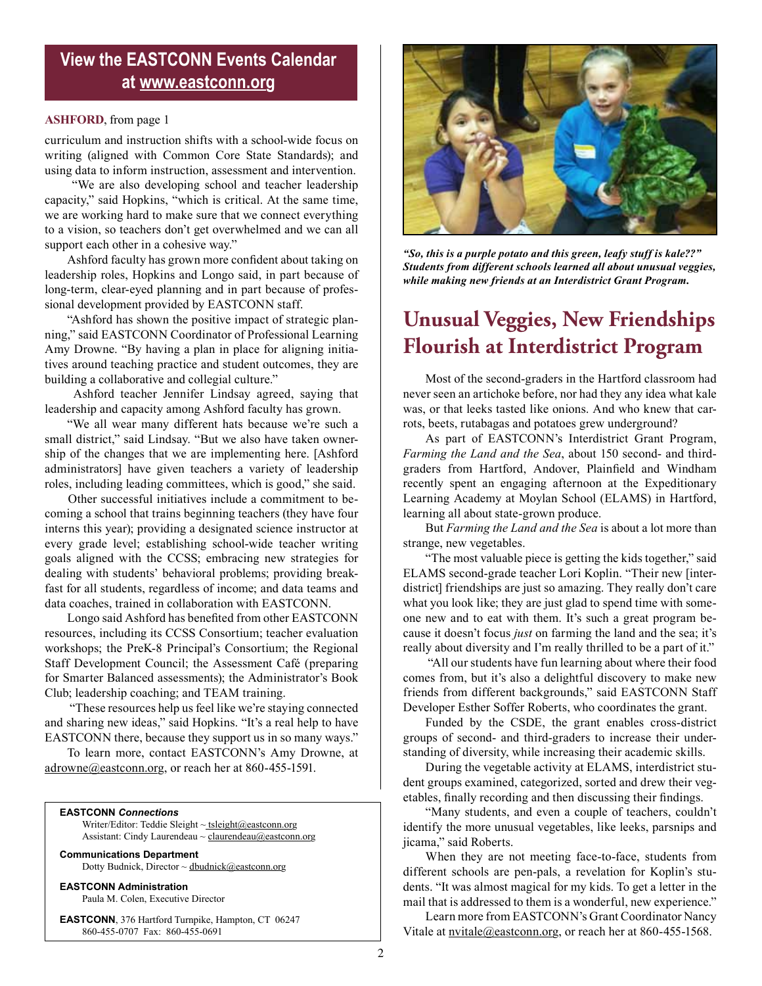### **View the EASTCONN Events Calendar at<www.eastconn.org>**

#### **ASHFORD**, from page 1

curriculum and instruction shifts with a school-wide focus on writing (aligned with Common Core State Standards); and using data to inform instruction, assessment and intervention.

 "We are also developing school and teacher leadership capacity," said Hopkins, "which is critical. At the same time, we are working hard to make sure that we connect everything to a vision, so teachers don't get overwhelmed and we can all support each other in a cohesive way."

Ashford faculty has grown more confdent about taking on leadership roles, Hopkins and Longo said, in part because of long-term, clear-eyed planning and in part because of professional development provided by EASTCONN staff.

"Ashford has shown the positive impact of strategic planning," said EASTCONN Coordinator of Professional Learning Amy Drowne. "By having a plan in place for aligning initiatives around teaching practice and student outcomes, they are building a collaborative and collegial culture."

 Ashford teacher Jennifer Lindsay agreed, saying that leadership and capacity among Ashford faculty has grown.

"We all wear many different hats because we're such a small district," said Lindsay. "But we also have taken ownership of the changes that we are implementing here. [Ashford administrators] have given teachers a variety of leadership roles, including leading committees, which is good," she said.

 Other successful initiatives include a commitment to becoming a school that trains beginning teachers (they have four interns this year); providing a designated science instructor at every grade level; establishing school-wide teacher writing goals aligned with the CCSS; embracing new strategies for dealing with students' behavioral problems; providing breakfast for all students, regardless of income; and data teams and data coaches, trained in collaboration with EASTCONN.

Longo said Ashford has benefted from other EASTCONN resources, including its CCSS Consortium; teacher evaluation workshops; the PreK-8 Principal's Consortium; the Regional Staff Development Council; the Assessment Café (preparing for Smarter Balanced assessments); the Administrator's Book Club; leadership coaching; and TEAM training.

 "These resources help us feel like we're staying connected and sharing new ideas," said Hopkins. "It's a real help to have EASTCONN there, because they support us in so many ways."

To learn more, contact EASTCONN's Amy Drowne, at adrowne@eastconn.org, or reach her at 860-455-1591.

#### **EASTCONN** *Connections*

Writer/Editor: Teddie Sleight ~ tsleight@eastconn.org Assistant: Cindy Laurendeau ~ [claurendeau@eastconn.org](mailto:claurendeau@eastconn.org)

**[Communications Department](%20mailto:connections@eastconn.org)** [Dotty Budnick](mailto:dbudnick@eastconn.org), Director  $\sim$  [dbudnick@eastconn.org](http://mailto:dbudnick@eastconn.org)

**EASTCONN Administration**

Paula M. Colen, Executive Director

**EASTCONN**, 376 Hartford Turnpike, Hampton, CT 06247 860-455-0707 Fax: 860-455-0691



*"So, this is a purple potato and this green, leafy stuff is kale??" Students from different schools learned all about unusual veggies, while making new friends at an Interdistrict Grant Program.* 

## **Unusual Veggies, New Friendships Flourish at Interdistrict Program**

Most of the second-graders in the Hartford classroom had never seen an artichoke before, nor had they any idea what kale was, or that leeks tasted like onions. And who knew that carrots, beets, rutabagas and potatoes grew underground?

As part of EASTCONN's Interdistrict Grant Program, *Farming the Land and the Sea*, about 150 second- and thirdgraders from Hartford, Andover, Plainfeld and Windham recently spent an engaging afternoon at the Expeditionary Learning Academy at Moylan School (ELAMS) in Hartford, learning all about state-grown produce.

But *Farming the Land and the Sea* is about a lot more than strange, new vegetables.

"The most valuable piece is getting the kids together," said ELAMS second-grade teacher Lori Koplin. "Their new [interdistrict] friendships are just so amazing. They really don't care what you look like; they are just glad to spend time with someone new and to eat with them. It's such a great program because it doesn't focus *just* on farming the land and the sea; it's really about diversity and I'm really thrilled to be a part of it."

 "All our students have fun learning about where their food comes from, but it's also a delightful discovery to make new friends from different backgrounds," said EASTCONN Staff Developer Esther Soffer Roberts, who coordinates the grant.

Funded by the CSDE, the grant enables cross-district groups of second- and third-graders to increase their understanding of diversity, while increasing their academic skills.

During the vegetable activity at ELAMS, interdistrict student groups examined, categorized, sorted and drew their vegetables, fnally recording and then discussing their fndings.

"Many students, and even a couple of teachers, couldn't identify the more unusual vegetables, like leeks, parsnips and jicama," said Roberts.

When they are not meeting face-to-face, students from different schools are pen-pals, a revelation for Koplin's students. "It was almost magical for my kids. To get a letter in the mail that is addressed to them is a wonderful, new experience."

Learn more from EASTCONN's Grant Coordinator Nancy Vitale at nvitale@eastconn.org, or reach her at 860-455-1568.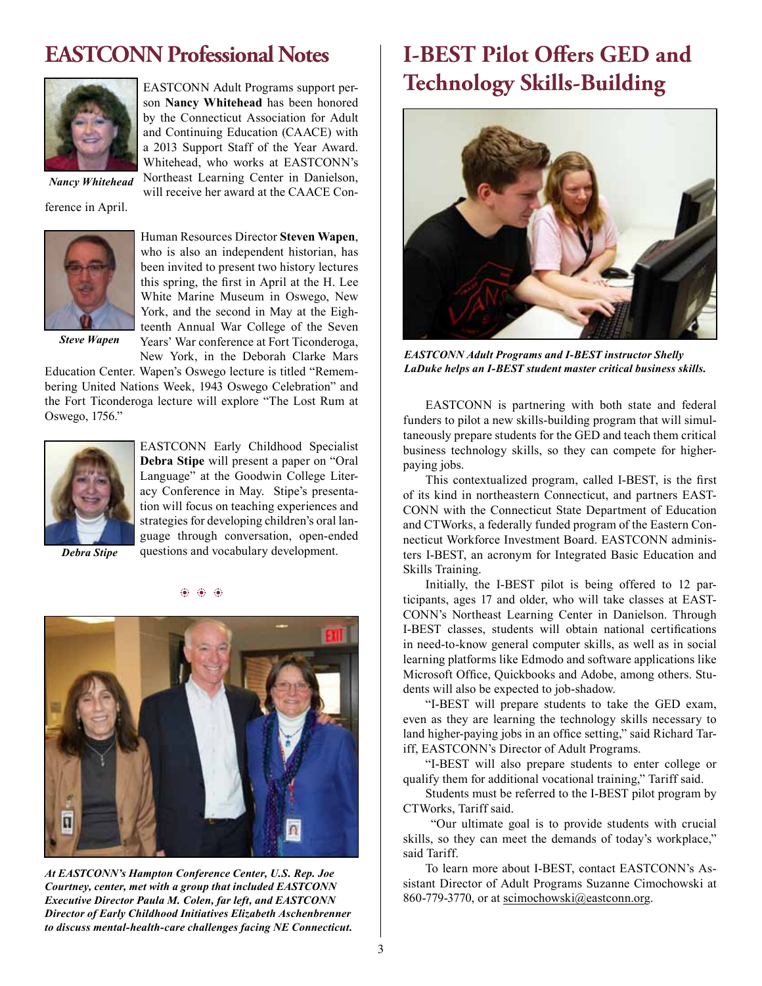## **EASTCONN Professional Notes**



EASTCONN Adult Programs support person **Nancy Whitehead** has been honored by the Connecticut Association for Adult and Continuing Education (CAACE) with a 2013 Support Staff of the Year Award. Whitehead, who works at EASTCONN's Northeast Learning Center in Danielson, will receive her award at the CAACE Con-

*Nancy Whitehead*

ference in April.



Human Resources Director **Steven Wapen**, who is also an independent historian, has been invited to present two history lectures this spring, the frst in April at the H. Lee White Marine Museum in Oswego, New York, and the second in May at the Eighteenth Annual War College of the Seven Years' War conference at Fort Ticonderoga, New York, in the Deborah Clarke Mars

*Steve Wapen*

Education Center. Wapen's Oswego lecture is titled "Remembering United Nations Week, 1943 Oswego Celebration" and the Fort Ticonderoga lecture will explore "The Lost Rum at Oswego, 1756."



EASTCONN Early Childhood Specialist **Debra Stipe** will present a paper on "Oral Language" at the Goodwin College Literacy Conference in May. Stipe's presentation will focus on teaching experiences and strategies for developing children's oral language through conversation, open-ended questions and vocabulary development.

*Debra Stipe*



 $\bf 66.66$ 

*At EASTCONN's Hampton Conference Center, U.S. Rep. Joe Courtney, center, met with a group that included EASTCONN Executive Director Paula M. Colen, far left, and EASTCONN Director of Early Childhood Initiatives Elizabeth Aschenbrenner to discuss mental-health-care challenges facing NE Connecticut.* 

# **I-BEST Pilot O"ers GED and Technology Skills-Building**



*EASTCONN Adult Programs and I-BEST instructor Shelly LaDuke helps an I-BEST student master critical business skills.* 

EASTCONN is partnering with both state and federal funders to pilot a new skills-building program that will simultaneously prepare students for the GED and teach them critical business technology skills, so they can compete for higherpaying jobs.

This contextualized program, called I-BEST, is the frst of its kind in northeastern Connecticut, and partners EAST-CONN with the Connecticut State Department of Education and CTWorks, a federally funded program of the Eastern Connecticut Workforce Investment Board. EASTCONN administers I-BEST, an acronym for Integrated Basic Education and Skills Training.

Initially, the I-BEST pilot is being offered to 12 participants, ages 17 and older, who will take classes at EAST-CONN's Northeast Learning Center in Danielson. Through I-BEST classes, students will obtain national certifcations in need-to-know general computer skills, as well as in social learning platforms like Edmodo and software applications like Microsoft Office, Quickbooks and Adobe, among others. Students will also be expected to job-shadow.

"I-BEST will prepare students to take the GED exam, even as they are learning the technology skills necessary to land higher-paying jobs in an office setting," said Richard Tariff, EASTCONN's Director of Adult Programs.

"I-BEST will also prepare students to enter college or qualify them for additional vocational training," Tariff said.

Students must be referred to the I-BEST pilot program by CTWorks, Tariff said.

 "Our ultimate goal is to provide students with crucial skills, so they can meet the demands of today's workplace," said Tariff.

To learn more about I-BEST, contact EASTCONN's Assistant Director of Adult Programs Suzanne Cimochowski at 860-779-3770, or at scimochowski@eastconn.org.